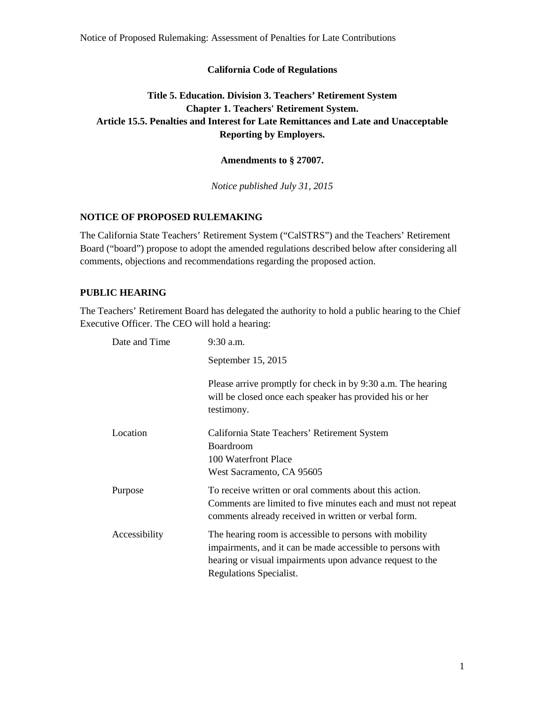Notice of Proposed Rulemaking: Assessment of Penalties for Late Contributions

#### **California Code of Regulations**

# **Title 5. Education. Division 3. Teachers' Retirement System Chapter 1. Teachers' Retirement System. Article 15.5. Penalties and Interest for Late Remittances and Late and Unacceptable Reporting by Employers.**

**Amendments to § 27007.**

*Notice published July 31, 2015*

# **NOTICE OF PROPOSED RULEMAKING**

The California State Teachers' Retirement System ("CalSTRS") and the Teachers' Retirement Board ("board") propose to adopt the amended regulations described below after considering all comments, objections and recommendations regarding the proposed action.

#### **PUBLIC HEARING**

The Teachers' Retirement Board has delegated the authority to hold a public hearing to the Chief Executive Officer. The CEO will hold a hearing:

| Date and Time | $9:30$ a.m.                                                                                                                                                                                                   |
|---------------|---------------------------------------------------------------------------------------------------------------------------------------------------------------------------------------------------------------|
|               | September 15, 2015                                                                                                                                                                                            |
|               | Please arrive promptly for check in by 9:30 a.m. The hearing<br>will be closed once each speaker has provided his or her<br>testimony.                                                                        |
| Location      | California State Teachers' Retirement System<br><b>Boardroom</b>                                                                                                                                              |
|               | 100 Waterfront Place                                                                                                                                                                                          |
|               | West Sacramento, CA 95605                                                                                                                                                                                     |
| Purpose       | To receive written or oral comments about this action.<br>Comments are limited to five minutes each and must not repeat<br>comments already received in written or verbal form.                               |
| Accessibility | The hearing room is accessible to persons with mobility<br>impairments, and it can be made accessible to persons with<br>hearing or visual impairments upon advance request to the<br>Regulations Specialist. |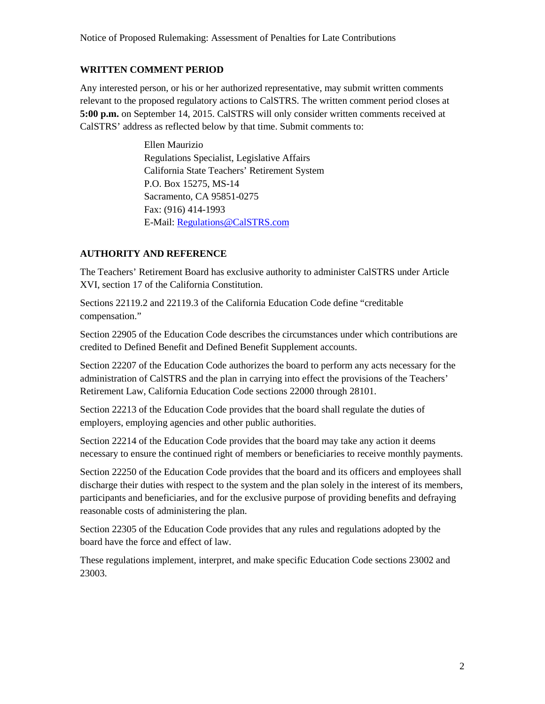#### **WRITTEN COMMENT PERIOD**

Any interested person, or his or her authorized representative, may submit written comments relevant to the proposed regulatory actions to CalSTRS. The written comment period closes at **5:00 p.m.** on September 14, 2015. CalSTRS will only consider written comments received at CalSTRS' address as reflected below by that time. Submit comments to:

> Ellen Maurizio Regulations Specialist, Legislative Affairs California State Teachers' Retirement System P.O. Box 15275, MS-14 Sacramento, CA 95851-0275 Fax: (916) 414-1993 E-Mail: [Regulations@CalSTRS.com](mailto:Regulations@CalSTRS.com)

### **AUTHORITY AND REFERENCE**

The Teachers' Retirement Board has exclusive authority to administer CalSTRS under Article XVI, section 17 of the California Constitution.

Sections 22119.2 and 22119.3 of the California Education Code define "creditable compensation."

Section 22905 of the Education Code describes the circumstances under which contributions are credited to Defined Benefit and Defined Benefit Supplement accounts.

Section 22207 of the Education Code authorizes the board to perform any acts necessary for the administration of CalSTRS and the plan in carrying into effect the provisions of the Teachers' Retirement Law, California Education Code sections 22000 through 28101.

Section 22213 of the Education Code provides that the board shall regulate the duties of employers, employing agencies and other public authorities.

Section 22214 of the Education Code provides that the board may take any action it deems necessary to ensure the continued right of members or beneficiaries to receive monthly payments.

Section 22250 of the Education Code provides that the board and its officers and employees shall discharge their duties with respect to the system and the plan solely in the interest of its members, participants and beneficiaries, and for the exclusive purpose of providing benefits and defraying reasonable costs of administering the plan.

Section 22305 of the Education Code provides that any rules and regulations adopted by the board have the force and effect of law.

These regulations implement, interpret, and make specific Education Code sections 23002 and 23003.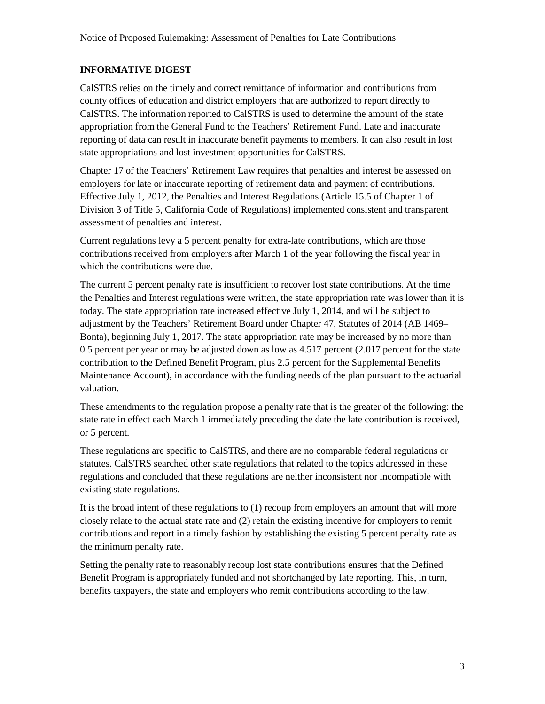### **INFORMATIVE DIGEST**

CalSTRS relies on the timely and correct remittance of information and contributions from county offices of education and district employers that are authorized to report directly to CalSTRS. The information reported to CalSTRS is used to determine the amount of the state appropriation from the General Fund to the Teachers' Retirement Fund. Late and inaccurate reporting of data can result in inaccurate benefit payments to members. It can also result in lost state appropriations and lost investment opportunities for CalSTRS.

Chapter 17 of the Teachers' Retirement Law requires that penalties and interest be assessed on employers for late or inaccurate reporting of retirement data and payment of contributions. Effective July 1, 2012, the Penalties and Interest Regulations (Article 15.5 of Chapter 1 of Division 3 of Title 5, California Code of Regulations) implemented consistent and transparent assessment of penalties and interest.

Current regulations levy a 5 percent penalty for extra-late contributions, which are those contributions received from employers after March 1 of the year following the fiscal year in which the contributions were due.

The current 5 percent penalty rate is insufficient to recover lost state contributions. At the time the Penalties and Interest regulations were written, the state appropriation rate was lower than it is today. The state appropriation rate increased effective July 1, 2014, and will be subject to adjustment by the Teachers' Retirement Board under Chapter 47, Statutes of 2014 (AB 1469– Bonta), beginning July 1, 2017. The state appropriation rate may be increased by no more than 0.5 percent per year or may be adjusted down as low as 4.517 percent (2.017 percent for the state contribution to the Defined Benefit Program, plus 2.5 percent for the Supplemental Benefits Maintenance Account), in accordance with the funding needs of the plan pursuant to the actuarial valuation.

These amendments to the regulation propose a penalty rate that is the greater of the following: the state rate in effect each March 1 immediately preceding the date the late contribution is received, or 5 percent.

These regulations are specific to CalSTRS, and there are no comparable federal regulations or statutes. CalSTRS searched other state regulations that related to the topics addressed in these regulations and concluded that these regulations are neither inconsistent nor incompatible with existing state regulations.

It is the broad intent of these regulations to (1) recoup from employers an amount that will more closely relate to the actual state rate and (2) retain the existing incentive for employers to remit contributions and report in a timely fashion by establishing the existing 5 percent penalty rate as the minimum penalty rate.

Setting the penalty rate to reasonably recoup lost state contributions ensures that the Defined Benefit Program is appropriately funded and not shortchanged by late reporting. This, in turn, benefits taxpayers, the state and employers who remit contributions according to the law.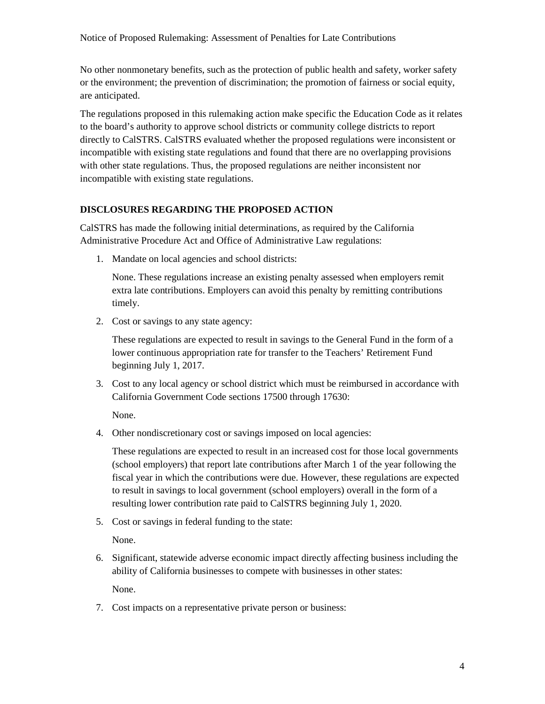No other nonmonetary benefits, such as the protection of public health and safety, worker safety or the environment; the prevention of discrimination; the promotion of fairness or social equity, are anticipated.

The regulations proposed in this rulemaking action make specific the Education Code as it relates to the board's authority to approve school districts or community college districts to report directly to CalSTRS. CalSTRS evaluated whether the proposed regulations were inconsistent or incompatible with existing state regulations and found that there are no overlapping provisions with other state regulations. Thus, the proposed regulations are neither inconsistent nor incompatible with existing state regulations.

### **DISCLOSURES REGARDING THE PROPOSED ACTION**

CalSTRS has made the following initial determinations, as required by the California Administrative Procedure Act and Office of Administrative Law regulations:

1. Mandate on local agencies and school districts:

None. These regulations increase an existing penalty assessed when employers remit extra late contributions. Employers can avoid this penalty by remitting contributions timely.

2. Cost or savings to any state agency:

These regulations are expected to result in savings to the General Fund in the form of a lower continuous appropriation rate for transfer to the Teachers' Retirement Fund beginning July 1, 2017.

3. Cost to any local agency or school district which must be reimbursed in accordance with California Government Code sections 17500 through 17630:

None.

4. Other nondiscretionary cost or savings imposed on local agencies:

These regulations are expected to result in an increased cost for those local governments (school employers) that report late contributions after March 1 of the year following the fiscal year in which the contributions were due. However, these regulations are expected to result in savings to local government (school employers) overall in the form of a resulting lower contribution rate paid to CalSTRS beginning July 1, 2020.

5. Cost or savings in federal funding to the state:

None.

6. Significant, statewide adverse economic impact directly affecting business including the ability of California businesses to compete with businesses in other states:

None.

7. Cost impacts on a representative private person or business: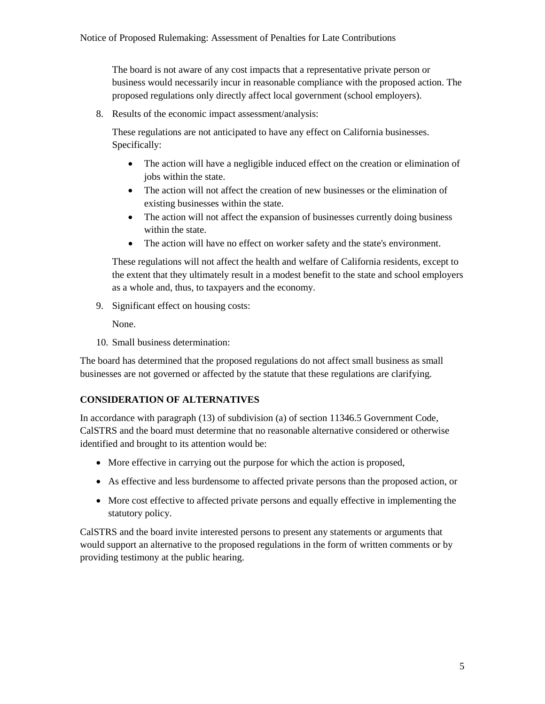The board is not aware of any cost impacts that a representative private person or business would necessarily incur in reasonable compliance with the proposed action. The proposed regulations only directly affect local government (school employers).

8. Results of the economic impact assessment/analysis:

These regulations are not anticipated to have any effect on California businesses. Specifically:

- The action will have a negligible induced effect on the creation or elimination of jobs within the state.
- The action will not affect the creation of new businesses or the elimination of existing businesses within the state.
- The action will not affect the expansion of businesses currently doing business within the state.
- The action will have no effect on worker safety and the state's environment.

These regulations will not affect the health and welfare of California residents, except to the extent that they ultimately result in a modest benefit to the state and school employers as a whole and, thus, to taxpayers and the economy.

9. Significant effect on housing costs:

None.

10. Small business determination:

The board has determined that the proposed regulations do not affect small business as small businesses are not governed or affected by the statute that these regulations are clarifying.

### **CONSIDERATION OF ALTERNATIVES**

In accordance with paragraph (13) of subdivision (a) of section 11346.5 Government Code, CalSTRS and the board must determine that no reasonable alternative considered or otherwise identified and brought to its attention would be:

- More effective in carrying out the purpose for which the action is proposed,
- As effective and less burdensome to affected private persons than the proposed action, or
- More cost effective to affected private persons and equally effective in implementing the statutory policy.

CalSTRS and the board invite interested persons to present any statements or arguments that would support an alternative to the proposed regulations in the form of written comments or by providing testimony at the public hearing.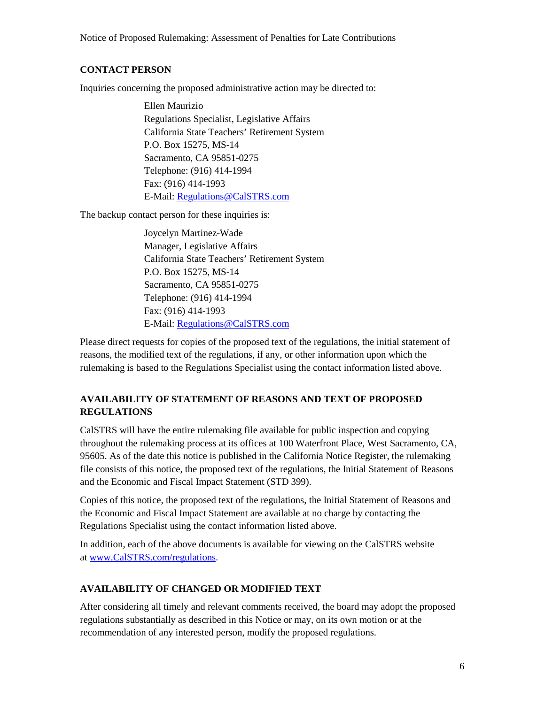Notice of Proposed Rulemaking: Assessment of Penalties for Late Contributions

#### **CONTACT PERSON**

Inquiries concerning the proposed administrative action may be directed to:

Ellen Maurizio Regulations Specialist, Legislative Affairs California State Teachers' Retirement System P.O. Box 15275, MS-14 Sacramento, CA 95851-0275 Telephone: (916) 414-1994 Fax: (916) 414-1993 E-Mail: [Regulations@CalSTRS.com](mailto:regulations@CalSTRS.com)

The backup contact person for these inquiries is:

Joycelyn Martinez-Wade Manager, Legislative Affairs California State Teachers' Retirement System P.O. Box 15275, MS-14 Sacramento, CA 95851-0275 Telephone: (916) 414-1994 Fax: (916) 414-1993 E-Mail: [Regulations@CalSTRS.com](mailto:regulations@CalSTRS.com)

Please direct requests for copies of the proposed text of the regulations, the initial statement of reasons, the modified text of the regulations, if any, or other information upon which the rulemaking is based to the Regulations Specialist using the contact information listed above.

### **AVAILABILITY OF STATEMENT OF REASONS AND TEXT OF PROPOSED REGULATIONS**

CalSTRS will have the entire rulemaking file available for public inspection and copying throughout the rulemaking process at its offices at 100 Waterfront Place, West Sacramento, CA, 95605. As of the date this notice is published in the California Notice Register, the rulemaking file consists of this notice, the proposed text of the regulations, the Initial Statement of Reasons and the Economic and Fiscal Impact Statement (STD 399).

Copies of this notice, the proposed text of the regulations, the Initial Statement of Reasons and the Economic and Fiscal Impact Statement are available at no charge by contacting the Regulations Specialist using the contact information listed above.

In addition, each of the above documents is available for viewing on the CalSTRS website a[t www.CalSTRS.com/regulations.](http://www.calstrs.com/regulations)

### **AVAILABILITY OF CHANGED OR MODIFIED TEXT**

After considering all timely and relevant comments received, the board may adopt the proposed regulations substantially as described in this Notice or may, on its own motion or at the recommendation of any interested person, modify the proposed regulations.